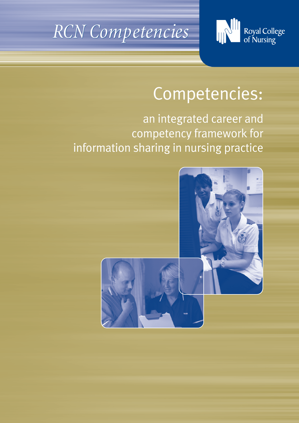



## Competencies:

### an integrated career and competency framework for information sharing in nursing practice

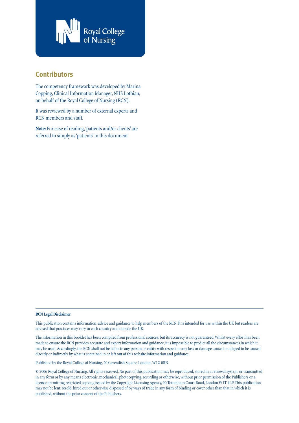

#### **Contributors**

The competency framework was developed by Marina Copping, Clinical Information Manager, NHS Lothian, on behalf of the Royal College of Nursing (RCN).

It was reviewed by a number of external experts and RCN members and staff.

**Note:** For ease of reading, 'patients and/or clients' are referred to simply as 'patients' in this document.

#### **RCN Legal Disclaimer**

This publication contains information, advice and guidance to help members of the RCN. It is intended for use within the UK but readers are advised that practices may vary in each country and outside the UK.

The information in this booklet has been compiled from professional sources, but its accuracy is not guaranteed. Whilst every effort has been made to ensure the RCN provides accurate and expert information and guidance, it is impossible to predict all the circumstances in which it may be used. Accordingly, the RCN shall not be liable to any person or entity with respect to any loss or damage caused or alleged to be caused directly or indirectly by what is contained in or left out of this website information and guidance.

Published by the Royal College of Nursing, 20 Cavendish Square, London, W1G 0RN

© 2006 Royal College of Nursing. All rights reserved. No part of this publication may be reproduced, stored in a retrieval system, or transmitted in any form or by any means electronic, mechanical, photocopying, recording or otherwise, without prior permission of the Publishers or a licence permitting restricted copying issued by the Copyright Licensing Agency, 90 Tottenham Court Road, London W1T 4LP. This publication may not be lent, resold, hired out or otherwise disposed of by ways of trade in any form of binding or cover other than that in which it is published, without the prior consent of the Publishers.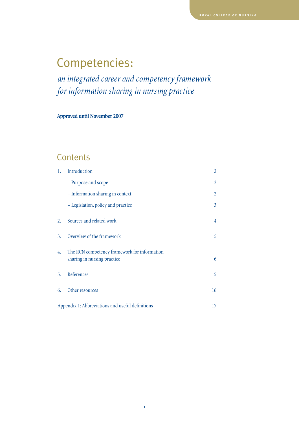### Competencies:

*an integrated career and competency framework for information sharing in nursing practice*

**Approved until November 2007**

#### **Contents**

| 1. | Introduction                                                                | $\overline{2}$ |
|----|-----------------------------------------------------------------------------|----------------|
|    | - Purpose and scope                                                         | $\overline{2}$ |
|    | - Information sharing in context                                            | $\overline{2}$ |
|    | – Legislation, policy and practice                                          | $\overline{3}$ |
| 2. | Sources and related work                                                    | $\overline{4}$ |
| 3. | Overview of the framework                                                   | 5              |
| 4. | The RCN competency framework for information<br>sharing in nursing practice | 6              |
| 5. | References                                                                  | 15             |
| 6. | Other resources                                                             | 16             |
|    | Appendix 1: Abbreviations and useful definitions                            | 17             |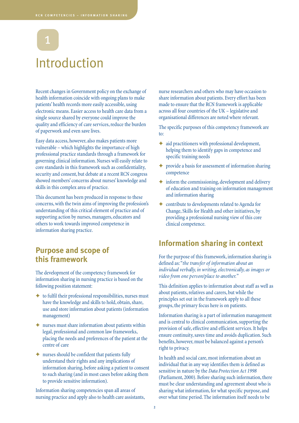

### Introduction

Recent changes in Government policy on the exchange of health information coincide with ongoing plans to make patients' health records more easily accessible, using electronic means. Easier access to health care data from a single source shared by everyone could improve the quality and efficiency of care services, reduce the burden of paperwork and even save lives.

Easy data access, however, also makes patients more vulnerable – which highlights the importance of high professional practice standards through a framework for governing clinical information. Nurses will easily relate to core standards in this framework such as confidentiality, security and consent, but debate at a recent RCN congress showed members' concerns about nurses' knowledge and skills in this complex area of practice.

This document has been produced in response to these concerns, with the twin aims of improving the profession's understanding of this critical element of practice and of supporting action by nurses, managers, educators and others to work towards improved competence in information sharing practice.

#### **Purpose and scope of this framework**

The development of the competency framework for information sharing in nursing practice is based on the following position statement:

- $\triangle$  to fulfil their professional responsibilities, nurses must have the knowledge and skills to hold, obtain, share, use and store information about patients (information management)
- ✦ nurses must share information about patients within legal, professional and common law frameworks, placing the needs and preferences of the patient at the centre of care
- ✦ nurses should be confident that patients fully understand their rights and any implications of information sharing, before asking a patient to consent to such sharing (and in most cases before asking them to provide sensitive information).

Information sharing competencies span all areas of nursing practice and apply also to health care assistants, nurse researchers and others who may have occasion to share information about patients. Every effort has been made to ensure that the RCN framework is applicable across all four countries of the UK – legislative and organisational differences are noted where relevant.

The specific purposes of this competency framework are to:

- ✦ aid practitioners with professional development, helping them to identify gaps in competence and specific training needs
- $\triangle$  provide a basis for assessment of information sharing competence
- $\triangleleft$  inform the commissioning, development and delivery of education and training on information management and information sharing
- ✦ contribute to developments related to Agenda for Change, Skills for Health and other initiatives, by providing a professional nursing view of this core clinical competence.

#### **Information sharing in context**

For the purpose of this framework, information sharing is defined as: "*the transfer of information about an individual verbally, in writing, electronically, as images or video from one person/place to another.*"

This definition applies to information about staff as well as about patients, relatives and carers, but while the principles set out in the framework apply to all these groups, the primary focus here is on patients.

Information sharing is a part of information management and is central to clinical communication, supporting the provision of safe, effective and efficient services. It helps ensure continuity, saves time and avoids duplication. Such benefits, however, must be balanced against a person's right to privacy.

In health and social care, most information about an individual that in any way identifies them is defined as sensitive in nature by the *Data Protection Act 1998* (Parliament, 2000). Before sharing such information, there must be clear understanding and agreement about who is sharing what information, for what specific purpose, and over what time period. The information itself needs to be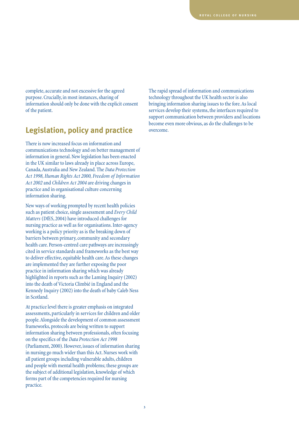complete, accurate and not excessive for the agreed purpose. Crucially, in most instances, sharing of information should only be done with the explicit consent of the patient.

#### **Legislation, policy and practice**

There is now increased focus on information and communications technology and on better management of information in general. New legislation has been enacted in the UK similar to laws already in place across Europe, Canada, Australia and New Zealand. The *Data Protection Act 1998, Human Rights Act 2000, Freedom of Information Act 2002* and *Children Act 2004* are driving changes in practice and in organisational culture concerning information sharing.

New ways of working prompted by recent health policies such as patient choice, single assessment and *Every Child Matters* (DfES, 2004) have introduced challenges for nursing practice as well as for organisations. Inter-agency working is a policy priority as is the breaking down of barriers between primary, community and secondary health care. Person-centred care pathways are increasingly cited in service standards and frameworks as the best way to deliver effective, equitable health care. As these changes are implemented they are further exposing the poor practice in information sharing which was already highlighted in reports such as the Laming Inquiry (2002) into the death of Victoria Climbié in England and the Kennedy Inquiry (2002) into the death of baby Caleb Ness in Scotland.

At practice level there is greater emphasis on integrated assessments, particularly in services for children and older people. Alongside the development of common assessment frameworks, protocols are being written to support information sharing between professionals, often focusing on the specifics of the *Data Protection Act 1998* (Parliament, 2000). However, issues of information sharing in nursing go much wider than this Act. Nurses work with all patient groups including vulnerable adults, children and people with mental health problems; these groups are the subject of additional legislation, knowledge of which forms part of the competencies required for nursing practice.

The rapid spread of information and communications technology throughout the UK health sector is also bringing information sharing issues to the fore. As local services develop their systems, the interfaces required to support communication between providers and locations become even more obvious, as do the challenges to be overcome.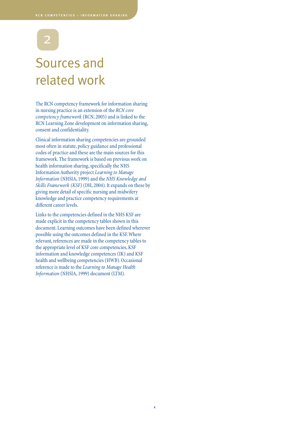# 2

### Sources and related work

The RCN competency framework for information sharing in nursing practice is an extension of the *RCN core competency framework* (RCN, 2005) and is linked to the RCN Learning Zone development on information sharing, consent and confidentiality.

Clinical information sharing competencies are grounded most often in statute, policy guidance and professional codes of practice and these are the main sources for this framework. The framework is based on previous work on health information sharing, specifically the NHS Information Authority project *Learning to Manage Information* (NHSIA, 1999) and the *NHS Knowledge and Skills Framework (KSF)* (DH, 2004). It expands on these by giving more detail of specific nursing and midwifery knowledge and practice competency requirements at different career levels.

Links to the competencies defined in the NHS KSF are made explicit in the competency tables shown in this document. Learning outcomes have been defined wherever possible using the outcomes defined in the KSF. Where relevant, references are made in the competency tables to the appropriate level of KSF core competencies, KSF information and knowledge competences (IK) and KSF health and wellbeing competencies (HWB). Occasional reference is made to the *Learning to Manage Health Information* (NHSIA, 1999) document (LTM).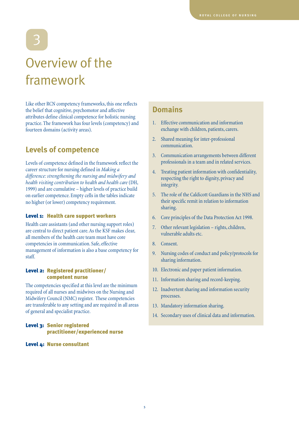# 3

## Overview of the framework

Like other RCN competency frameworks, this one reflects the belief that cognitive, psychomotor and affective attributes define clinical competence for holistic nursing practice. The framework has four levels (competency) and fourteen domains (activity areas).

#### **Levels of competence**

Levels of competence defined in the framework reflect the career structure for nursing defined in *Making a difference: strengthening the nursing and midwifery and health visiting contribution to health and health care* (DH, 1999) and are cumulative – higher levels of practice build on earlier competence. Empty cells in the tables indicate no higher (or lower) competency requirement.

#### Level 1: Health care support workers

Health care assistants (and other nursing support roles) are central to direct patient care. As the KSF makes clear, all members of the health care team must have core competencies in communication. Safe, effective management of information is also a base competency for staff.

#### Level 2: Registered practitioner/ competent nurse

The competencies specified at this level are the minimum required of all nurses and midwives on the Nursing and Midwifery Council (NMC) register. These competencies are transferable to any setting and are required in all areas of general and specialist practice.

#### Level 3: Senior registered practitioner/experienced nurse

#### Level 4: Nurse consultant

#### **Domains**

- 1. Effective communication and information exchange with children, patients, carers.
- 2. Shared meaning for inter-professional communication.
- 3. Communication arrangements between different professionals in a team and in related services.
- 4. Treating patient information with confidentiality, respecting the right to dignity, privacy and integrity.
- 5. The role of the Caldicott Guardians in the NHS and their specific remit in relation to information sharing.
- 6. Core principles of the Data Protection Act 1998.
- 7. Other relevant legislation rights, children, vulnerable adults etc.
- 8. Consent.
- 9. Nursing codes of conduct and policy/protocols for sharing information.
- 10. Electronic and paper patient information.
- 11. Information sharing and record-keeping.
- 12. Inadvertent sharing and information security processes.
- 13. Mandatory information sharing.
- 14. Secondary uses of clinical data and information.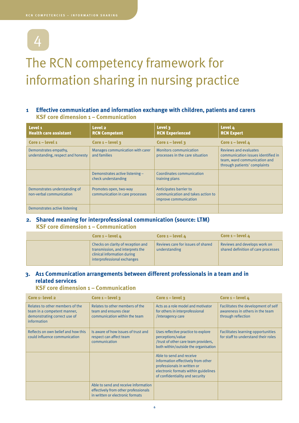# 4

## The RCN competency framework for information sharing in nursing practice

#### **1 Effective communication and information exchange with children, patients and carers KSF core dimension 1 – Communication**

| Level 1<br><b>Health care assistant</b>                     | Level <sub>2</sub><br><b>RCN Competent</b>                | Level 3<br><b>RCN Experienced</b>                                                    | Level 4<br><b>RCN Expert</b>                                                                                                |
|-------------------------------------------------------------|-----------------------------------------------------------|--------------------------------------------------------------------------------------|-----------------------------------------------------------------------------------------------------------------------------|
| Core $1 - level 1$                                          | Core $1 - level$ 3                                        | Core $1 - level$ 3                                                                   | Core $1 - level 4$                                                                                                          |
| Demonstrates empathy.<br>understanding, respect and honesty | Manages communication with carer<br>and families          | <b>Monitors communication</b><br>processes in the care situation                     | Reviews and evaluates<br>communication issues identified in<br>team, ward communication and<br>through patients' complaints |
|                                                             | Demonstrates active listening -<br>check understanding    | Coordinates communication<br>training plans                                          |                                                                                                                             |
| Demonstrates understanding of<br>non-verbal communication   | Promotes open, two-way<br>communication in care processes | Anticipates barrier to<br>communication and takes action to<br>improve communication |                                                                                                                             |
| Demonstrates active listening                               |                                                           |                                                                                      |                                                                                                                             |

#### **2. Shared meaning for interprofessional communication (source: LTM)**

**KSF core dimension 1 – Communication** 

| Core $1 - level 4$                                                                                                                   | Core $1 -$ level $\boldsymbol{\mu}$                | Core $1 -$ level $4$                                                |
|--------------------------------------------------------------------------------------------------------------------------------------|----------------------------------------------------|---------------------------------------------------------------------|
| Checks on clarity of reception and<br>transmission, and interprets the<br>clinical information during<br>interprofessional exchanges | Reviews care for issues of shared<br>understanding | Reviews and develops work on<br>shared definition of care processes |

#### **3. A11 Communication arrangements between different professionals in a team and in related services**

| Core 1- level 2                                                                                               | Core $1 - level$ 3                                                                                               | Core $1 - level$ 3                                                                                                                                                       | Core $1 -$ level $4$                                                                         |
|---------------------------------------------------------------------------------------------------------------|------------------------------------------------------------------------------------------------------------------|--------------------------------------------------------------------------------------------------------------------------------------------------------------------------|----------------------------------------------------------------------------------------------|
| Relates to other members of the<br>team in a competent manner,<br>demonstrating correct use of<br>information | Relates to other members of the<br>team and ensures clear<br>communication within the team                       | Acts as a role model and motivator<br>for others in interprofessional<br>/interagency care                                                                               | Facilitates the development of self<br>awareness in others in the team<br>through reflection |
| Reflects on own belief and how this<br>could influence communication                                          | Is aware of how issues of trust and<br>respect can affect team<br>communication                                  | Uses reflective practice to explore<br>perceptions/value<br>/trust of other care team providers,<br>both within/outside the organisation                                 | Facilitates learning opportunities<br>for staff to understand their roles                    |
|                                                                                                               |                                                                                                                  | Able to send and receive<br>information effectively from other<br>professionals in written or<br>electronic formats within guidelines<br>of confidentiality and security |                                                                                              |
|                                                                                                               | Able to send and receive information<br>effectively from other professionals<br>in written or electronic formats |                                                                                                                                                                          |                                                                                              |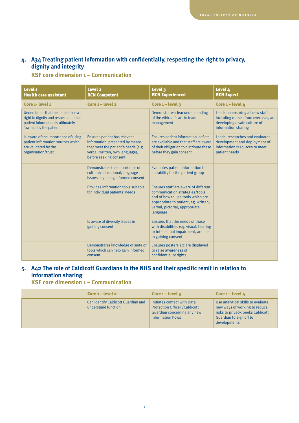#### **4. A34 Treating patient information with confidentially, respecting the right to privacy, dignity and integrity**

**KSF core dimension 1 – Communication** 

| Level <sub>1</sub><br><b>Health care assistant</b>                                                                                         | Level <sub>2</sub><br><b>RCN Competent</b>                                                                                                                          | Level 3<br><b>RCN Experienced</b>                                                                                                                                                                 | Level 4<br><b>RCN Expert</b>                                                                                                   |
|--------------------------------------------------------------------------------------------------------------------------------------------|---------------------------------------------------------------------------------------------------------------------------------------------------------------------|---------------------------------------------------------------------------------------------------------------------------------------------------------------------------------------------------|--------------------------------------------------------------------------------------------------------------------------------|
| Core 1- level 1                                                                                                                            | Core $1 - level 2$                                                                                                                                                  | Core $1 - level$ 3                                                                                                                                                                                | Core $1$ – level $4$                                                                                                           |
| Understands that the patient has a<br>right to dignity and respect and that<br>patient information is ultimately<br>'owned' by the patient |                                                                                                                                                                     | Demonstrates clear understanding<br>of the ethics of care in team<br>management                                                                                                                   | Leads on ensuring all new staff,<br>including nurses from overseas, are<br>developing a safe culture of<br>information sharing |
| Is aware of the importance of using<br>patient information sources which<br>are validated by the<br>organisation/trust                     | Ensures patient has relevant<br>information, presented by means<br>that meet the patient's needs (e.g.<br>verbal, written, own language),<br>before seeking consent | <b>Ensures patient information leaflets</b><br>are available and that staff are aware<br>of their obligation to distribute these<br>before they gain consent                                      | Leads, researches and evaluates<br>development and deployment of<br>information resources to meet<br>patient needs             |
|                                                                                                                                            | Demonstrates the importance of<br>cultural/educational/language<br>issues in gaining informed consent                                                               | Evaluates patient information for<br>suitability for the patient group                                                                                                                            |                                                                                                                                |
|                                                                                                                                            | Provides information tools suitable<br>for individual patients' needs                                                                                               | Ensures staff are aware of different<br>communication strategies/tools<br>and of how to use tools which are<br>appropriate to patient, eg. written,<br>verbal, pictorial, appropriate<br>language |                                                                                                                                |
|                                                                                                                                            | Is aware of diversity issues in<br>gaining consent                                                                                                                  | Ensures that the needs of those<br>with disabilities e.g. visual, hearing<br>or intellectual impairment, are met<br>in gaining consent                                                            |                                                                                                                                |
|                                                                                                                                            | Demonstrates knowledge of suite of<br>tools which can help gain informed<br>consent                                                                                 | Ensures posters etc are displayed<br>to raise awareness of<br>confidentiality rights                                                                                                              |                                                                                                                                |

#### **5. A42 The role of Caldicott Guardians in the NHS and their specific remit in relation to information sharing**

| Core $1 - level 2$                                         | Core $1 - level$ 3                                                                                                       | Core $1 - level 4$                                                                                                                                 |
|------------------------------------------------------------|--------------------------------------------------------------------------------------------------------------------------|----------------------------------------------------------------------------------------------------------------------------------------------------|
| Can identify Caldicott Guardian and<br>understand function | Initiates contact with Data<br><b>Protection Officer / Caldicott</b><br>Guardian concerning any new<br>information flows | Use analytical skills to evaluate<br>new ways of working to reduce<br>risks to privacy. Seeks Caldicott<br>Guardian to sign off to<br>developments |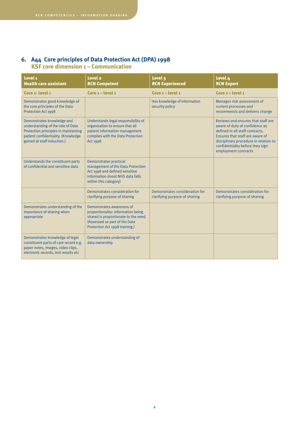#### **6. A44 Core principles of Data Protection Act (DPA) 1998 KSF core dimension 1 – Communication**

| Level 1<br><b>Health care assistant</b>                                                                                                                                       | Level <sub>2</sub><br><b>RCN Competent</b>                                                                                                                                 | Level <sub>3</sub><br><b>RCN Experienced</b>                    | Level 4<br><b>RCN Expert</b>                                                                                                                                                                                                                    |
|-------------------------------------------------------------------------------------------------------------------------------------------------------------------------------|----------------------------------------------------------------------------------------------------------------------------------------------------------------------------|-----------------------------------------------------------------|-------------------------------------------------------------------------------------------------------------------------------------------------------------------------------------------------------------------------------------------------|
| Core 1- level 1                                                                                                                                                               | Core $1 - level 1$                                                                                                                                                         | Core 1 - level 1                                                | Core $1 - level 1$                                                                                                                                                                                                                              |
| Demonstrates good knowledge of<br>the core principles of the Data<br>Protection Act 1998                                                                                      |                                                                                                                                                                            | Has knowledge of information<br>security policy                 | Manages risk assessment of<br>current processes and<br>recommends and delivers change                                                                                                                                                           |
| Demonstrates knowledge and<br>understanding of the role of Data<br>Protection principles in maintaining<br>patient confidentiality. (Knowledge<br>gained at staff induction.) | Understands legal responsibility of<br>organisation to ensure that all<br>patient information management<br>complies with the Data Protection<br><b>Act 1998</b>           |                                                                 | Reviews and ensures that staff are<br>aware of duty of confidence as<br>defined in all staff contracts.<br>Ensures that staff are aware of<br>disciplinary procedure in relation to<br>confidentiality before they sign<br>employment contracts |
| Understands the constituent parts<br>of confidential and sensitive data                                                                                                       | <b>Demonstrates practical</b><br>management of the Data Protection<br>Act 1998 and defined sensitive<br>information (most NHS data falls<br>within this category)          |                                                                 |                                                                                                                                                                                                                                                 |
|                                                                                                                                                                               | Demonstrates consideration for<br>clarifying purpose of sharing                                                                                                            | Demonstrates consideration for<br>clarifying purpose of sharing | Demonstrates consideration for<br>clarifying purpose of sharing                                                                                                                                                                                 |
| Demonstrates understanding of the<br>importance of sharing when<br>appropriate                                                                                                | Demonstrates awareness of<br>proportionality: information being<br>shared is proportionate to the need.<br>(Assessed as part of the Data<br>Protection Act 1998 training.) |                                                                 |                                                                                                                                                                                                                                                 |
| Demonstrates knowledge of legal<br>constituent parts of care record e.g.<br>paper notes, images, video clips,<br>electronic records, test results etc                         | Demonstrates understanding of<br>data ownership                                                                                                                            |                                                                 |                                                                                                                                                                                                                                                 |

**8**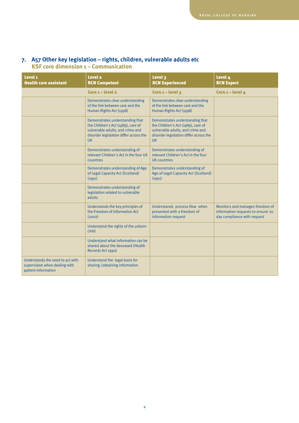| 7. A57 Other key legislation – rights, children, vulnerable adults etc |
|------------------------------------------------------------------------|
| KSF core dimension $1 -$ Communication                                 |

| Level <sub>1</sub><br><b>Health care assistant</b>                                       | Level <sub>2</sub><br><b>RCN Competent</b>                                                                                                                       | Level 3<br><b>RCN Experienced</b>                                                                                                                                | Level 4<br><b>RCN Expert</b>                                                                        |
|------------------------------------------------------------------------------------------|------------------------------------------------------------------------------------------------------------------------------------------------------------------|------------------------------------------------------------------------------------------------------------------------------------------------------------------|-----------------------------------------------------------------------------------------------------|
|                                                                                          | Core $1 - level 2$                                                                                                                                               | Core $1 - level$ 3                                                                                                                                               | Core $1 - level$                                                                                    |
|                                                                                          | Demonstrates clear understanding<br>of the link between care and the<br>Human Rights Act (1998)                                                                  | Demonstrates clear understanding<br>of the link between care and the<br>Human Rights Act (1998)                                                                  |                                                                                                     |
|                                                                                          | Demonstrates understanding that<br>the Children's Act (1989), care of<br>vulnerable adults, and crime and<br>disorder legislation differ across the<br><b>UK</b> | Demonstrates understanding that<br>the Children's Act (1989), care of<br>vulnerable adults, and crime and<br>disorder legislation differ across the<br><b>UK</b> |                                                                                                     |
|                                                                                          | Demonstrates understanding of<br>relevant Children's Act in the four UK<br><b>countries</b>                                                                      | Demonstrates understanding of<br>relevant Children's Act in the four<br>UK countries                                                                             |                                                                                                     |
|                                                                                          | Demonstrates understanding of Age<br>of Legal Capacity Act (Scotland)<br>(1991)                                                                                  | Demonstrates understanding of<br>Age of Legal Capacity Act (Scotland)<br>(1991)                                                                                  |                                                                                                     |
|                                                                                          | Demonstrates understanding of<br>legislation related to vulnerable<br>adults                                                                                     |                                                                                                                                                                  |                                                                                                     |
|                                                                                          | Understands the key principles of<br>the Freedom of Information Act<br>(2002)                                                                                    | Understands process flow when<br>presented with a freedom of<br>information request                                                                              | Monitors and manages freedom of<br>information requests to ensure 20<br>day compliance with request |
|                                                                                          | Understand the rights of the unborn<br>child                                                                                                                     |                                                                                                                                                                  |                                                                                                     |
|                                                                                          | Understand what information can be<br>shared about the deceased (Health<br>Records Act 1990)                                                                     |                                                                                                                                                                  |                                                                                                     |
| Understands the need to act with<br>supervision when dealing with<br>patient information | Understand the legal basis for<br>sharing / obtaining information                                                                                                |                                                                                                                                                                  |                                                                                                     |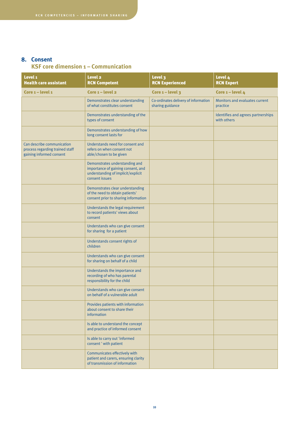#### **8. Consent**

| Level 1<br><b>Health care assistant</b>                                                   | Level <sub>2</sub><br><b>RCN Competent</b>                                                                                   | Level 3<br><b>RCN Experienced</b>                        | Level <sub>4</sub><br><b>RCN Expert</b>           |
|-------------------------------------------------------------------------------------------|------------------------------------------------------------------------------------------------------------------------------|----------------------------------------------------------|---------------------------------------------------|
| Core $1 - level 1$                                                                        | Core 1 - level 2                                                                                                             | Core $1 - level$ 3                                       | Core $1 - level$                                  |
|                                                                                           | Demonstrates clear understanding<br>of what constitutes consent                                                              | Co-ordinates delivery of information<br>sharing guidance | Monitors and evaluates current<br>practice        |
|                                                                                           | Demonstrates understanding of the<br>types of consent                                                                        |                                                          | Identifies and agrees partnerships<br>with others |
|                                                                                           | Demonstrates understanding of how<br>long consent lasts for                                                                  |                                                          |                                                   |
| Can describe communication<br>process regarding trained staff<br>gaining informed consent | Understands need for consent and<br>refers on when consent not<br>able/chosen to be given                                    |                                                          |                                                   |
|                                                                                           | Demonstrates understanding and<br>importance of gaining consent, and<br>understanding of implicit/explicit<br>consent issues |                                                          |                                                   |
|                                                                                           | Demonstrates clear understanding<br>of the need to obtain patients'<br>consent prior to sharing information                  |                                                          |                                                   |
|                                                                                           | Understands the legal requirement<br>to record patients' views about<br>consent                                              |                                                          |                                                   |
|                                                                                           | Understands who can give consent<br>for sharing for a patient                                                                |                                                          |                                                   |
|                                                                                           | Understands consent rights of<br>children                                                                                    |                                                          |                                                   |
|                                                                                           | Understands who can give consent<br>for sharing on behalf of a child                                                         |                                                          |                                                   |
|                                                                                           | Understands the importance and<br>recording of who has parental<br>responsibility for the child                              |                                                          |                                                   |
|                                                                                           | Understands who can give consent<br>on behalf of a vulnerable adult                                                          |                                                          |                                                   |
|                                                                                           | Provides patients with information<br>about consent to share their<br>information                                            |                                                          |                                                   |
|                                                                                           | Is able to understand the concept<br>and practice of informed consent                                                        |                                                          |                                                   |
|                                                                                           | Is able to carry out 'informed<br>consent ' with patient                                                                     |                                                          |                                                   |
|                                                                                           | Communicates effectively with<br>patient and carers, ensuring clarity<br>of transmission of information                      |                                                          |                                                   |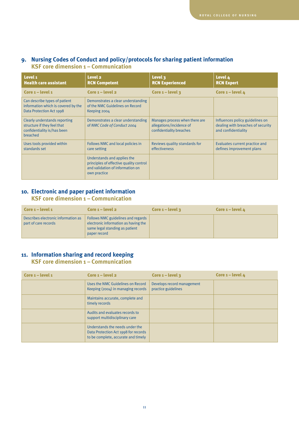| Level 1<br><b>Health care assistant</b>                                                                 | Level <sub>2</sub><br><b>RCN Competent</b>                                                                                 | Level 3<br><b>RCN Experienced</b>                                                      | Level 4<br><b>RCN Expert</b>                                                                |
|---------------------------------------------------------------------------------------------------------|----------------------------------------------------------------------------------------------------------------------------|----------------------------------------------------------------------------------------|---------------------------------------------------------------------------------------------|
| Core $1 - level 1$                                                                                      | Core 1 - level 2                                                                                                           | Core $1 - level$ 3                                                                     | Core $1 - level 4$                                                                          |
| Can describe types of patient<br>information which is covered by the<br>Data Protection Act 1998        | Demonstrates a clear understanding<br>of the NMC Guidelines on Record<br>Keeping 2004                                      |                                                                                        |                                                                                             |
| Clearly understands reporting<br>structure if they feel that<br>confidentiality is/has been<br>breached | Demonstrates a clear understanding<br>of NMC Code of Conduct 2004                                                          | Manages process when there are<br>allegations/incidence of<br>confidentiality breaches | Influences policy guidelines on<br>dealing with breaches of security<br>and confidentiality |
| Uses tools provided within<br>standards set                                                             | Follows NMC and local policies in<br>care setting                                                                          | Reviews quality standards for<br><b>effectiveness</b>                                  | Evaluates current practice and<br>defines improvement plans                                 |
|                                                                                                         | Understands and applies the<br>principles of effective quality control<br>and validation of information on<br>own practice |                                                                                        |                                                                                             |

#### **9. Nursing Codes of Conduct and policy/protocols for sharing patient information KSF core dimension 1 – Communication**

#### **10. Electronic and paper patient information**

#### **KSF core dimension 1 – Communication**

| Core $1 - level 1$                                          | Core $1 - level 2$                                                                                                           | Core $1 - level 3$ | Core $1 -$ level $4$ |
|-------------------------------------------------------------|------------------------------------------------------------------------------------------------------------------------------|--------------------|----------------------|
| Describes electronic information as<br>part of care records | Follows NMC guidelines and regards<br>electronic information as having the<br>same legal standing as patient<br>paper record |                    |                      |

#### **11. Information sharing and record keeping KSF core dimension 1 – Communication**

| Core $1 - level 1$ | Core $1 - level 2$                                                                                             | Core $1 - level$ 3                                | Core $1 - level$ |
|--------------------|----------------------------------------------------------------------------------------------------------------|---------------------------------------------------|------------------|
|                    | Uses the NMC Guidelines on Record<br>Keeping (2004) in managing records                                        | Develops record management<br>practice guidelines |                  |
|                    | Maintains accurate, complete and<br>timely records                                                             |                                                   |                  |
|                    | Audits and evaluates records to<br>support multidisciplinary care                                              |                                                   |                  |
|                    | Understands the needs under the<br>Data Protection Act 1998 for records<br>to be complete, accurate and timely |                                                   |                  |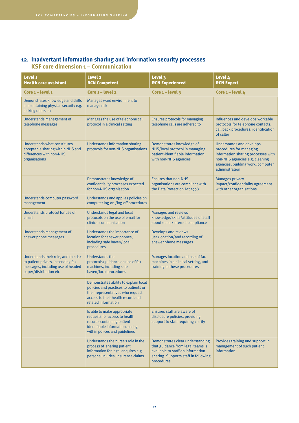#### **12. Inadvertant information sharing and information security processes KSF core dimension 1 – Communication**

Level 1 Health care assistant Level 2 RCN Competent Level 3 RCN Experienced Level 4 RCN Expert Core 1 – level 1 Core 1 – level 2 Core 1 – level 3 Core 1 – level 4 Demonstrates knowledge and skills in maintaining physical security e.g. locking doors etc Manages ward environment to manage risk Understands management of telephone messages Manages the use of telephone call protocol in a clinical setting Ensures protocols for managing telephone calls are adhered to Influences and develops workable protocols for telephone contacts, call back procedures, identification of caller Understands what constitutes acceptable sharing within NHS and differences with non-NHS organisations Understands information sharing protocols for non-NHS organisations Demonstrates knowledge of NHS/local protocol in managing patient-identifiable information with non-NHS agencies Understands and develops procedures for managing information sharing processes with non-NHS agencies e.g. cleaning agencies, building work, computer administration Demonstrates knowledge of confidentiality processes expected for non-NHS organisation Ensures that non-NHS organisations are compliant with the Data Protection Act 1998 Manages privacy impact/confidentiality agreement with other organisations Understands computer password management Understands and applies policies on computer log-on /log-off procedures Understands protocol for use of email Understands legal and local protocols on the use of email for clinical communication Manages and reviews knowledge/skills/attitudes of staff about email/internet compliance Understands management of answer phone messages Understands the importance of location for answer phones, including safe haven/local procedures Develops and reviews use/location/and recording of answer phone messages Understands their role, and the risk to patient privacy, in sending fax messages, including use of headed paper/distribution etc Understands the protocols/guidance on use of fax machines, including safe haven/local procedures Manages location and use of fax machines in a clinical setting, and training in these procedures Demonstrates ability to explain local policies and practices to patients or their representatives who request access to their health record and related information Is able to make appropriate requests for access to health records containing patient identifiable information, acting within polices and guidelines Ensures staff are aware of disclosure policies, providing support to staff requiring clarity Understands the nurse's role in the process of sharing patient information for legal enquires e.g. personal injuries, insurance claims Demonstrates clear understanding that guidance from legal teams is available to staff on information sharing. Supports staff in following procedures Provides training and support in management of such patient information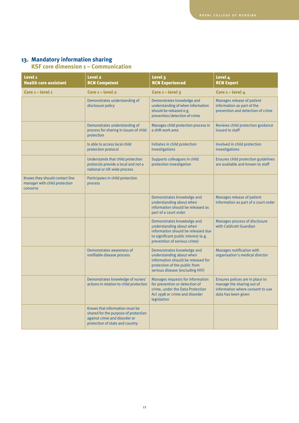#### **13. Mandatory information sharing**

| Level <sub>1</sub><br><b>Health care assistant</b>                          | Level <sub>2</sub><br><b>RCN Competent</b>                                                                                                 | Level 3<br><b>RCN Experienced</b>                                                                                                                                    | Level 4<br><b>RCN Expert</b>                                                                                            |
|-----------------------------------------------------------------------------|--------------------------------------------------------------------------------------------------------------------------------------------|----------------------------------------------------------------------------------------------------------------------------------------------------------------------|-------------------------------------------------------------------------------------------------------------------------|
| Core 1 - level 1                                                            | Core 1 - level 2                                                                                                                           | Core $1 - level$ 3                                                                                                                                                   | Core $1 - level$ 4                                                                                                      |
|                                                                             | Demonstrates understanding of<br>disclosure policy                                                                                         | Demonstrates knowledge and<br>understanding of when information<br>should be released e.g.<br>prevention/detection of crime                                          | Manages release of patient<br>information as part of the<br>prevention and detection of crime                           |
|                                                                             | Demonstrates understanding of<br>process for sharing in issues of child<br>protection                                                      | Manages child protection process in<br>a shift work area                                                                                                             | Reviews child protection guidance<br>issued to staff                                                                    |
|                                                                             | Is able to access local child<br>protection protocol                                                                                       | Initiates in child protection<br>investigations                                                                                                                      | Involved in child protection<br>investigations                                                                          |
|                                                                             | Understands that child protection<br>protocols provide a local and not a<br>national or UK-wide process                                    | Supports colleagues in child<br>protection investigation                                                                                                             | Ensures child protection guidelines<br>are available and known to staff                                                 |
| Knows they should contact line<br>manager with child protection<br>concerns | Participates in child protection<br>process                                                                                                |                                                                                                                                                                      |                                                                                                                         |
|                                                                             |                                                                                                                                            | Demonstrates knowledge and<br>understanding about when<br>information should be released as<br>part of a court order                                                 | Manages release of patient<br>information as part of a court order                                                      |
|                                                                             |                                                                                                                                            | Demonstrates knowledge and<br>understanding about when<br>information should be released due<br>to significant public interest (e.g.<br>prevention of serious crime) | Manages process of disclosure<br>with Caldicott Guardian                                                                |
|                                                                             | Demonstrates awareness of<br>notifiable disease process                                                                                    | Demonstrates knowledge and<br>understanding about when<br>information should be released for<br>protection of the public from<br>serious disease (excluding HIV)     | Manages notification with<br>organisation's medical director                                                            |
|                                                                             | Demonstrates knowledge of nurses'<br>actions in relation to child protection                                                               | Manages requests for information<br>for prevention or detection of<br>crime, under the Data Protection<br>Act 1998 or crime and disorder<br>legislation              | Ensures polices are in place to<br>manage the sharing out of<br>information where consent to use<br>data has been given |
|                                                                             | Knows that information must be<br>shared for the purpose of protection<br>against crime and disorder or<br>protection of state and country |                                                                                                                                                                      |                                                                                                                         |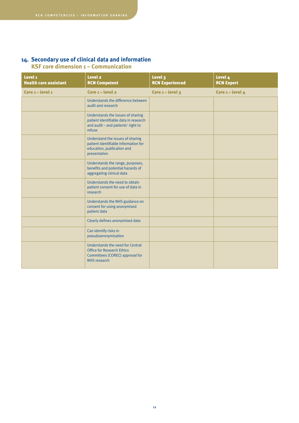#### **14. Secondary use of clinical data and information**

| Level 1<br><b>Health care assistant</b> | Level <sub>2</sub><br><b>RCN Competent</b>                                                                                      | Level 3<br><b>RCN Experienced</b> | Level 4<br><b>RCN Expert</b> |
|-----------------------------------------|---------------------------------------------------------------------------------------------------------------------------------|-----------------------------------|------------------------------|
| Core $1 - level 1$                      | Core $1 - level 2$                                                                                                              | Core $1 - level$ 3                | Core $1 - level$             |
|                                         | Understands the difference between<br>audit and research                                                                        |                                   |                              |
|                                         | Understands the issues of sharing<br>patient identifiable data in research<br>and audit - and patients' right to<br>refuse      |                                   |                              |
|                                         | Understand the issues of sharing<br>patient identifiable information for<br>education, publication and<br>presentation          |                                   |                              |
|                                         | Understands the range, purposes,<br>benefits and potential hazards of<br>aggregating clinical data                              |                                   |                              |
|                                         | Understands the need to obtain<br>patient consent for use of data in<br>research                                                |                                   |                              |
|                                         | Understands the NHS guidance on<br>consent for using anonymised<br>patient data                                                 |                                   |                              |
|                                         | Clearly defines anonymised data                                                                                                 |                                   |                              |
|                                         | Can identify risks in<br>pseudoanonymisation                                                                                    |                                   |                              |
|                                         | Understands the need for Central<br><b>Office for Research Ethics</b><br>Committees (COREC) approval for<br><b>NHS research</b> |                                   |                              |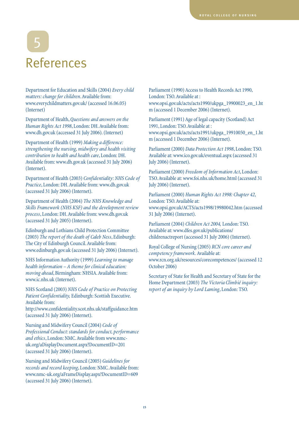## 5 References

Department for Education and Skills (2004) *Every child matters: change for children*. Available from: www.everychildmatters.gov.uk/ (accessed 16.06.05) (Internet)

Department of Health, *Questions and answers on the Human Rights Act 1998*, London: DH. Available from: www.dh.gov.uk (accessed 31 July 2006). (Internet)

Department of Health (1999) *Making a difference: strengthening the nursing, midwifery and health visiting contribution to health and health care*, London: DH. Available from: www.dh.gov.uk (accessed 31 July 2006) (Internet).

Department of Health (2003) *Confidentiality: NHS Code of Practice*, London: DH. Available from: www.dh.gov.uk (accessed 31 July 2006) (Internet).

Department of Health (2004) *The NHS Knowledge and Skills Framework (NHS KSF) and the development review process*, London: DH. Available from: www.dh.gov.uk (accessed 31 July 2005) (Internet).

Edinburgh and Lothians Child Protection Committee (2003) *The report of the death of Caleb Ness*, Edinburgh: The City of Edinburgh Council. Available from: www.edinburgh.gov.uk (accessed 31 July 2006) (Internet).

NHS Information Authority (1999) *Learning to manage health information – A theme for clinical education: moving ahead*, Birmingham: NHSIA. Available from: www.ic.nhs.uk (Internet).

NHS Scotland (2003) *NHS Code of Practice on Protecting Patient Confidentiality,* Edinburgh: Scottish Executive. Available from:

http://www.confidentiality.scot.nhs.uk/staffguidance.htm (accessed 31 July 2006) (Internet).

Nursing and Midwifery Council (2004) *Code of Professional Conduct: standards for conduct, performance and ethics*, London: NMC. Available from www.nmcuk.org/aDisplayDocument.aspx?DocumentID=201 (accessed 31 July 2006) (Internet).

Nursing and Midwifery Council (2005) *Guidelines for records and record keeping*, London: NMC. Available from: www.nmc-uk.org/aFrameDisplay.aspx?DocumentID=609 (accessed 31 July 2006) (Internet).

Parliament (1990) Access to Health Records Act 1990, London: TSO. Available at : www.opsi.gov.uk/acts/acts1990/ukpga\_19900023\_en\_1.ht m (accessed 1 December 2006) (Internet).

Parliament (1991) Age of legal capacity (Scotland) Act 1991, London: TSO. Available at : www.opsi.gov.uk/acts/acts1991/ukpga\_19910050\_en\_1.ht m (accessed 1 December 2006) (Internet).

Parliament (2000) *Data Protection Act 1998*, London: TSO. Available at: www.ico.gov.uk/eventual.aspx (accessed 31 July 2006) (Internet).

Parliament (2000) *Freedom of Information Act*, London: TSO. Available at: www.foi.nhs.uk/home.html (accessed 31 July 2006) (Internet).

Parliament (2000) *Human Rights Act 1998: Chapter 42*, London: TSO. Available at: www.opsi.gov.uk/ACTS/acts1998/19980042.htm (accessed 31 July 2006) (Internet).

Parliament (2004) *Children Act 2004,* London: TSO. Available at: www.dfes.gov.uk/publications/ childrenactreport (accessed 31 July 2006) (Internet).

Royal College of Nursing (2005) *RCN core career and competency framework.* Available at: www.rcn.org.uk/resources/corecompetences/ (accessed 12 October 2006)

Secretary of State for Health and Secretary of State for the Home Department (2003) *The Victoria Climbié inquiry: report of an inquiry by Lord Laming*, London: TSO.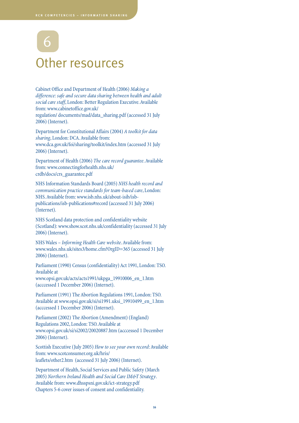

Cabinet Office and Department of Health (2006) *Making a difference: safe and secure data sharing between health and adult social care staff*, London: Better Regulation Executive. Available from: www.cabinetoffice.gov.uk/ regulation/ documents/mad/data\_sharing.pdf (accessed 31 July 2006) (Internet).

Department for Constitutional Affairs (2004) *A toolkit for data sharing*, London: DCA. Available from: www.dca.gov.uk/foi/sharing/toolkit/index.htm (accessed 31 July 2006) (Internet).

Department of Health (2006) *The care record guarantee*. Available from: www.connectingforhealth.nhs.uk/ crdb/docs/crs\_guarantee.pdf

NHS Information Standards Board (2005) *NHS health record and communication practice standards for team-based care*, London: NHS. Available from: www.isb.nhs.uk/about-isib/isbpublications/isb-publications#record (accessed 31 July 2006) (Internet).

NHS Scotland data protection and confidentiality website (Scotland): www.show.scot.nhs.uk/confidentiality (accessed 31 July 2006) (Internet).

NHS Wales – *Informing Health Care website*. Available from: www.wales.nhs.uk/sites3/home.cfm?OrgID=365 (accessed 31 July 2006) (Internet).

Parliament (1990) Census (confidentiality) Act 1991, London: TSO. Available at www.opsi.gov.uk/acts/acts1991/ukpga\_19910006\_en\_1.htm

(acccessed 1 December 2006) (Internet).

Parliament (1991) The Abortion Regulations 1991, London: TSO. Available at www.opsi.gov.uk/si/si1991.uksi\_19910499\_en\_1.htm (acccessed 1 December 2006) (Internet).

Parliament (2002) The Abortion (Amendment) (England) Regulations 2002, London: TSO. Available at www.opsi.gov.uk/si/si2002/20020887.htm (acccessed 1 December 2006) (Internet).

Scottish Executive (July 2005) *How to see your own record*: Available from: www.scotconsumer.org.uk/hris/ leaflets/other2.htm (accessed 31 July 2006) (Internet).

Department of Health, Social Services and Public Safety (March 2005) *Northern Ireland Health and Social Care IM&T Strategy*. Available from: www.dhsspsni.gov.uk/ict-strategy.pdf Chapters 5-6 cover issues of consent and confidentiality.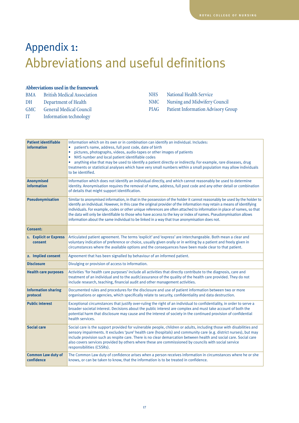### Appendix 1: Abbreviations and useful definitions

#### **Abbreviations used in the framework**

| <b>BMA</b> | <b>British Medical Association</b> | NHS. | National Health Service                 |
|------------|------------------------------------|------|-----------------------------------------|
| DH         | Department of Health               |      | NMC Nursing and Midwifery Council       |
| GMC –      | General Medical Council            |      | PIAG Patient Information Advisory Group |
| IT         | Information technology             |      |                                         |

| <b>Patient identifiable</b><br>information | Information which on its own or in combination can identify an individual. Includes:<br>patient's name, address, full post code, date of birth<br>$\bullet$<br>pictures, photographs, videos, audio-tapes or other images of patients<br>NHS number and local patient identifiable codes<br>$\bullet$<br>anything else that may be used to identify a patient directly or indirectly. For example, rare diseases, drug<br>$\bullet$<br>treatments or statistical analyses which have very small numbers within a small population may allow individuals<br>to be identified.                          |
|--------------------------------------------|-------------------------------------------------------------------------------------------------------------------------------------------------------------------------------------------------------------------------------------------------------------------------------------------------------------------------------------------------------------------------------------------------------------------------------------------------------------------------------------------------------------------------------------------------------------------------------------------------------|
| <b>Anonymised</b><br><b>information</b>    | Information which does not identify an individual directly, and which cannot reasonably be used to determine<br>identity. Anonymisation requires the removal of name, address, full post code and any other detail or combination<br>of details that might support identification.                                                                                                                                                                                                                                                                                                                    |
| Pseudonymisation                           | Similar to anonymised information, in that in the possession of the holder it cannot reasonably be used by the holder to<br>identify an individual. However, in this case the original provider of the information may retain a means of identifying<br>individuals. For example, codes or other unique references are often attached to information in place of names, so that<br>the data will only be identifiable to those who have access to the key or index of names. Pseudonymisation allows<br>information about the same individual to be linked in a way that true anonymisation does not. |
| <b>Consent:</b>                            |                                                                                                                                                                                                                                                                                                                                                                                                                                                                                                                                                                                                       |
| 1. Explicit or Express<br>consent          | Articulated patient agreement. The terms 'explicit' and 'express' are interchangeable. Both mean a clear and<br>voluntary indication of preference or choice, usually given orally or in writing by a patient and freely given in<br>circumstances where the available options and the consequences have been made clear to that patient.                                                                                                                                                                                                                                                             |
| 2. Implied consent                         | Agreement that has been signalled by behaviour of an informed patient.                                                                                                                                                                                                                                                                                                                                                                                                                                                                                                                                |
| <b>Disclosure</b>                          | Divulging or provision of access to information.                                                                                                                                                                                                                                                                                                                                                                                                                                                                                                                                                      |
| <b>Health care purposes</b>                | Activities 'for health care purposes' include all activities that directly contribute to the diagnosis, care and<br>treatment of an individual and to the audit/assurance of the quality of the health care provided. They do not<br>include research, teaching, financial audit and other management activities.                                                                                                                                                                                                                                                                                     |
| <b>Information sharing</b><br>protocol     | Documented rules and procedures for the disclosure and use of patient information between two or more<br>organisations or agencies, which specifically relate to security, confidentiality and data destruction.                                                                                                                                                                                                                                                                                                                                                                                      |
| <b>Public interest</b>                     | Exceptional circumstances that justify over-ruling the right of an individual to confidentiality, in order to serve a<br>broader societal interest. Decisions about the public interest are complex and must take account of both the<br>potential harm that disclosure may cause and the interest of society in the continued provision of confidential<br>health services.                                                                                                                                                                                                                          |
| <b>Social care</b>                         | Social care is the support provided for vulnerable people, children or adults, including those with disabilities and<br>sensory impairments. It excludes 'pure' health care (hospitals) and community care (e.g. district nurses), but may<br>include provision such as respite care. There is no clear demarcation between health and social care. Social care<br>also covers services provided by others where these are commissioned by councils with social service<br>responsibilities (CSSRs).                                                                                                  |
| <b>Common Law duty of</b><br>confidence    | The Common Law duty of confidence arises when a person receives information in circumstances where he or she<br>knows, or can be taken to know, that the information is to be treated in confidence.                                                                                                                                                                                                                                                                                                                                                                                                  |

**17**